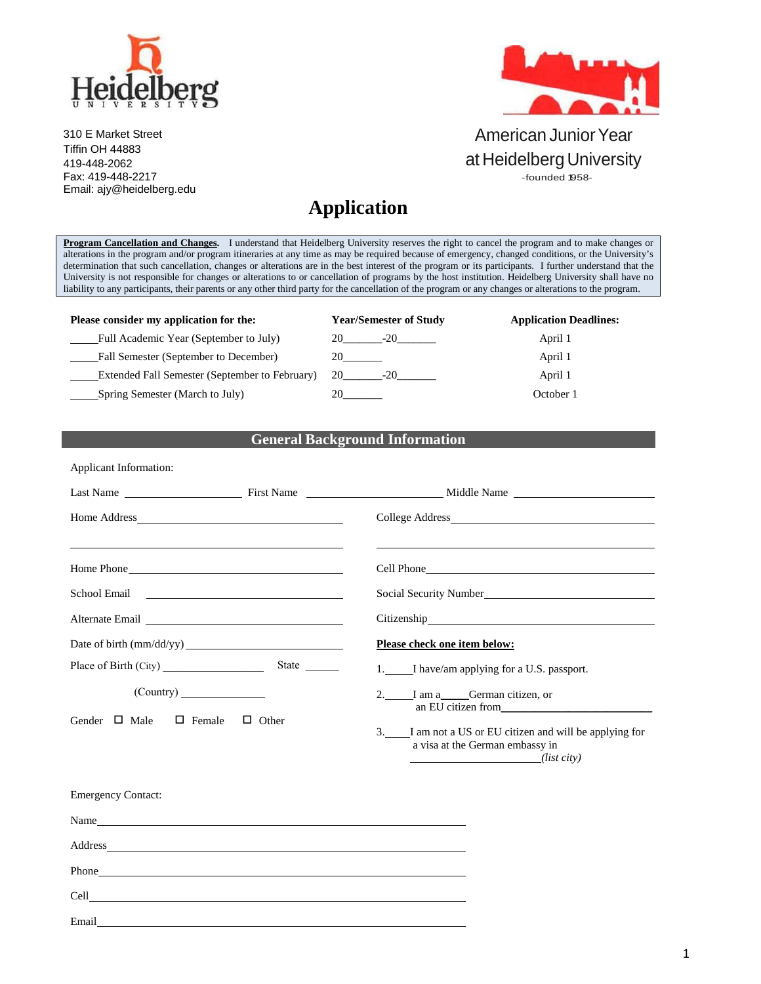

310 E Market Street Tiffin OH 44883 419-448-2062 Fax: 419-448-2217 Email: [ajy@heidelberg.edu](mailto:ajy@heidelberg.edu)



### American Junior Year at Heidelberg University -founded 1958-

# **Application**

**Program Cancellation and Changes.** I understand that Heidelberg University reserves the right to cancel the program and to make changes or alterations in the program and/or program itineraries at any time as may be required because of emergency, changed conditions, or the University's determination that such cancellation, changes or alterations are in the best interest of the program or its participants. I further understand that the University is not responsible for changes or alterations to or cancellation of programs by the host institution. Heidelberg University shall have no liability to any participants, their parents or any other third party for the cancellation of the program or any changes or alterations to the program.

| Please consider my application for the:        | <b>Year/Semester of Study</b> | <b>Application Deadlines:</b> |
|------------------------------------------------|-------------------------------|-------------------------------|
| Full Academic Year (September to July)         |                               | April 1                       |
| Fall Semester (September to December)          |                               | April 1                       |
| Extended Fall Semester (September to February) | 20<br>$-20$                   | April 1                       |
| Spring Semester (March to July)                |                               | October 1                     |

#### **General Background Information**

| Applicant Information:                                                                                                                                                                                                               |  |                                                                                                                                                                                                                                      |  |
|--------------------------------------------------------------------------------------------------------------------------------------------------------------------------------------------------------------------------------------|--|--------------------------------------------------------------------------------------------------------------------------------------------------------------------------------------------------------------------------------------|--|
|                                                                                                                                                                                                                                      |  |                                                                                                                                                                                                                                      |  |
|                                                                                                                                                                                                                                      |  |                                                                                                                                                                                                                                      |  |
|                                                                                                                                                                                                                                      |  |                                                                                                                                                                                                                                      |  |
|                                                                                                                                                                                                                                      |  | Cell Phone <u>contract the contract of the contract of the contract of the contract of the contract of the contract of the contract of the contract of the contract of the contract of the contract of the contract of the contr</u> |  |
| School Email 2008 and 2008 and 2008 and 2008 and 2008 and 2008 and 2008 and 2008 and 2008 and 2008 and 2008 and 2008 and 2008 and 2008 and 2008 and 2008 and 2008 and 2008 and 2008 and 2008 and 2008 and 2008 and 2008 and 20       |  | Social Security Number                                                                                                                                                                                                               |  |
| Alternate Email and the state of the state of the state of the state of the state of the state of the state of the state of the state of the state of the state of the state of the state of the state of the state of the sta       |  |                                                                                                                                                                                                                                      |  |
|                                                                                                                                                                                                                                      |  | Please check one item below:                                                                                                                                                                                                         |  |
| Place of Birth (City)                                                                                                                                                                                                                |  | 1. I have/am applying for a U.S. passport.                                                                                                                                                                                           |  |
| $\frac{1}{2}$ (Country)<br>Gender $\Box$ Male<br>$\Box$ Female<br>$\Box$ Other                                                                                                                                                       |  | 2. I am a German citizen, or                                                                                                                                                                                                         |  |
|                                                                                                                                                                                                                                      |  | an EU citizen from<br>3. I am not a US or EU citizen and will be applying for<br>a visa at the German embassy in<br>$(list\,city)$                                                                                                   |  |
| <b>Emergency Contact:</b>                                                                                                                                                                                                            |  |                                                                                                                                                                                                                                      |  |
| Name                                                                                                                                                                                                                                 |  |                                                                                                                                                                                                                                      |  |
|                                                                                                                                                                                                                                      |  |                                                                                                                                                                                                                                      |  |
| Phone <u>that the contract of the contract of the contract of the contract of the contract of the contract of the contract of the contract of the contract of the contract of the contract of the contract of the contract of th</u> |  |                                                                                                                                                                                                                                      |  |
|                                                                                                                                                                                                                                      |  |                                                                                                                                                                                                                                      |  |
| Email                                                                                                                                                                                                                                |  |                                                                                                                                                                                                                                      |  |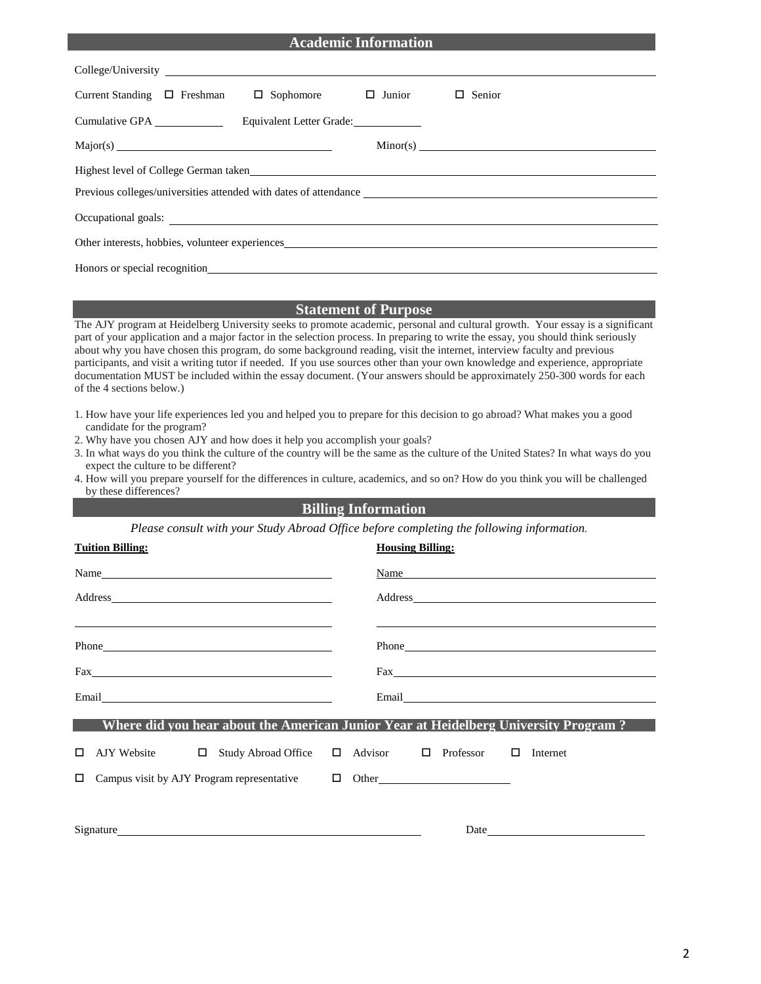| <b>Academic Information</b>                                                                                                                                                                                                                                                                                                                                                                                                                                                                                                                                                                                                                                                            |
|----------------------------------------------------------------------------------------------------------------------------------------------------------------------------------------------------------------------------------------------------------------------------------------------------------------------------------------------------------------------------------------------------------------------------------------------------------------------------------------------------------------------------------------------------------------------------------------------------------------------------------------------------------------------------------------|
|                                                                                                                                                                                                                                                                                                                                                                                                                                                                                                                                                                                                                                                                                        |
| $\Box$ Junior<br>Current Standing $\Box$ Freshman<br>$\Box$ Sophomore<br>$\Box$ Senior                                                                                                                                                                                                                                                                                                                                                                                                                                                                                                                                                                                                 |
| Cumulative GPA Equivalent Letter Grade:                                                                                                                                                                                                                                                                                                                                                                                                                                                                                                                                                                                                                                                |
|                                                                                                                                                                                                                                                                                                                                                                                                                                                                                                                                                                                                                                                                                        |
| Highest level of College German taken expansion of the state of the state of the state of the state of the state of the state of the state of the state of the state of the state of the state of the state of the state of th                                                                                                                                                                                                                                                                                                                                                                                                                                                         |
| Previous colleges/universities attended with dates of attendance ___________________________________                                                                                                                                                                                                                                                                                                                                                                                                                                                                                                                                                                                   |
|                                                                                                                                                                                                                                                                                                                                                                                                                                                                                                                                                                                                                                                                                        |
| Other interests, hobbies, volunteer experiences                                                                                                                                                                                                                                                                                                                                                                                                                                                                                                                                                                                                                                        |
| Honors or special recognition experience of the contract of the contract of the contract of the contract of the contract of the contract of the contract of the contract of the contract of the contract of the contract of th                                                                                                                                                                                                                                                                                                                                                                                                                                                         |
|                                                                                                                                                                                                                                                                                                                                                                                                                                                                                                                                                                                                                                                                                        |
| <b>Statement of Purpose</b>                                                                                                                                                                                                                                                                                                                                                                                                                                                                                                                                                                                                                                                            |
| The AJY program at Heidelberg University seeks to promote academic, personal and cultural growth. Your essay is a significant<br>part of your application and a major factor in the selection process. In preparing to write the essay, you should think seriously<br>about why you have chosen this program, do some background reading, visit the internet, interview faculty and previous<br>participants, and visit a writing tutor if needed. If you use sources other than your own knowledge and experience, appropriate<br>documentation MUST be included within the essay document. (Your answers should be approximately 250-300 words for each<br>of the 4 sections below.) |
| 1. How have your life experiences led you and helped you to prepare for this decision to go abroad? What makes you a good<br>candidate for the program?<br>2. Why have you chosen AJY and how does it help you accomplish your goals?<br>3. In what ways do you think the culture of the country will be the same as the culture of the United States? In what ways do you<br>expect the culture to be different?                                                                                                                                                                                                                                                                      |

4. How will you prepare yourself for the differences in culture, academics, and so on? How do you think you will be challenged by these differences?

#### **Billing Information**

*Please consult with your Study Abroad Office before completing the following information.*

| <b>Tuition Billing:</b>                                                                                                                                                                                                        | <b>Housing Billing:</b>                                                                                                                                                                                                       |
|--------------------------------------------------------------------------------------------------------------------------------------------------------------------------------------------------------------------------------|-------------------------------------------------------------------------------------------------------------------------------------------------------------------------------------------------------------------------------|
|                                                                                                                                                                                                                                | Name and the set of the set of the set of the set of the set of the set of the set of the set of the set of the set of the set of the set of the set of the set of the set of the set of the set of the set of the set of the |
| Address                                                                                                                                                                                                                        |                                                                                                                                                                                                                               |
|                                                                                                                                                                                                                                |                                                                                                                                                                                                                               |
|                                                                                                                                                                                                                                |                                                                                                                                                                                                                               |
|                                                                                                                                                                                                                                |                                                                                                                                                                                                                               |
|                                                                                                                                                                                                                                | <b>EXECUTE:</b> Where did you hear about the American Junior Year at Heidelberg University Program ?                                                                                                                          |
| П                                                                                                                                                                                                                              | AJY Website □ Study Abroad Office □ Advisor □ Professor □ Internet                                                                                                                                                            |
| Campus visit by AJY Program representative $\Box$ Other<br>$\Box$                                                                                                                                                              |                                                                                                                                                                                                                               |
|                                                                                                                                                                                                                                |                                                                                                                                                                                                                               |
| Signature experience and the state of the state of the state of the state of the state of the state of the state of the state of the state of the state of the state of the state of the state of the state of the state of th | Date                                                                                                                                                                                                                          |